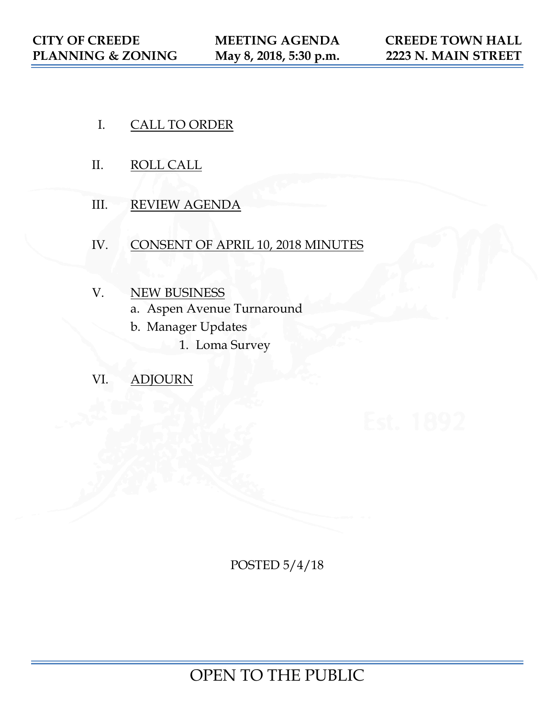- I. CALL TO ORDER
- II. ROLL CALL
- III. REVIEW AGENDA
- IV. CONSENT OF APRIL 10, 2018 MINUTES
- V. NEW BUSINESS
	- a. Aspen Avenue Turnaround
	- b. Manager Updates
		- 1. Loma Survey
- VI. ADJOURN

POSTED 5/4/18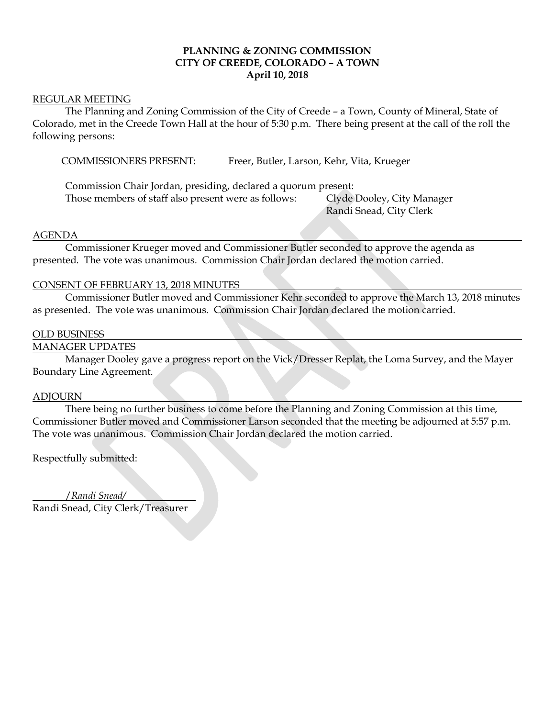## **PLANNING & ZONING COMMISSION CITY OF CREEDE, COLORADO – A TOWN April 10, 2018**

#### REGULAR MEETING

The Planning and Zoning Commission of the City of Creede – a Town, County of Mineral, State of Colorado, met in the Creede Town Hall at the hour of 5:30 p.m. There being present at the call of the roll the following persons:

COMMISSIONERS PRESENT: Freer, Butler, Larson, Kehr, Vita, Krueger

Commission Chair Jordan, presiding, declared a quorum present: Those members of staff also present were as follows: Clyde Dooley, City Manager

Randi Snead, City Clerk

## AGENDA

Commissioner Krueger moved and Commissioner Butler seconded to approve the agenda as presented. The vote was unanimous. Commission Chair Jordan declared the motion carried.

## CONSENT OF FEBRUARY 13, 2018 MINUTES

Commissioner Butler moved and Commissioner Kehr seconded to approve the March 13, 2018 minutes as presented. The vote was unanimous. Commission Chair Jordan declared the motion carried.

#### OLD BUSINESS

### MANAGER UPDATES

Manager Dooley gave a progress report on the Vick/Dresser Replat, the Loma Survey, and the Mayer Boundary Line Agreement.

#### ADJOURN

There being no further business to come before the Planning and Zoning Commission at this time, Commissioner Butler moved and Commissioner Larson seconded that the meeting be adjourned at 5:57 p.m. The vote was unanimous. Commission Chair Jordan declared the motion carried.

Respectfully submitted:

 /*Randi Snead/* Randi Snead, City Clerk/Treasurer